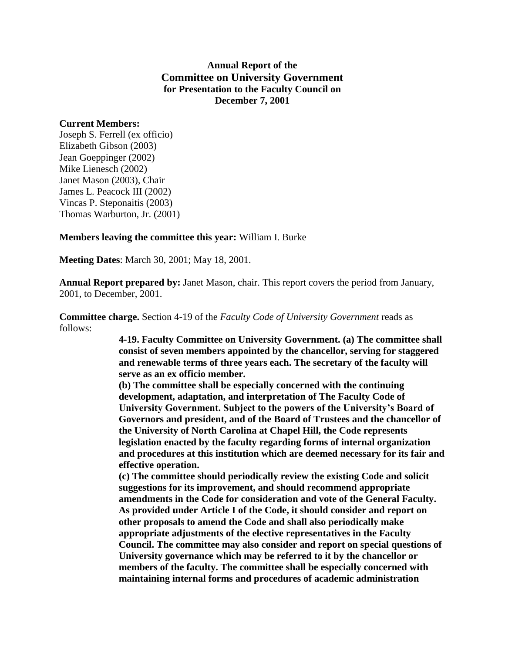## **Annual Report of the Committee on University Government for Presentation to the Faculty Council on December 7, 2001**

## **Current Members:**

Joseph S. Ferrell (ex officio) Elizabeth Gibson (2003) Jean Goeppinger (2002) Mike Lienesch (2002) Janet Mason (2003), Chair James L. Peacock III (2002) Vincas P. Steponaitis (2003) Thomas Warburton, Jr. (2001)

## **Members leaving the committee this year:** William I. Burke

**Meeting Dates**: March 30, 2001; May 18, 2001.

**Annual Report prepared by:** Janet Mason, chair. This report covers the period from January, 2001, to December, 2001.

**Committee charge.** Section 4-19 of the *Faculty Code of University Government* reads as follows:

> **4-19. Faculty Committee on University Government. (a) The committee shall consist of seven members appointed by the chancellor, serving for staggered and renewable terms of three years each. The secretary of the faculty will serve as an ex officio member.**

**(b) The committee shall be especially concerned with the continuing development, adaptation, and interpretation of The Faculty Code of University Government. Subject to the powers of the University's Board of Governors and president, and of the Board of Trustees and the chancellor of the University of North Carolina at Chapel Hill, the Code represents legislation enacted by the faculty regarding forms of internal organization and procedures at this institution which are deemed necessary for its fair and effective operation.**

**(c) The committee should periodically review the existing Code and solicit suggestions for its improvement, and should recommend appropriate amendments in the Code for consideration and vote of the General Faculty. As provided under Article I of the Code, it should consider and report on other proposals to amend the Code and shall also periodically make appropriate adjustments of the elective representatives in the Faculty Council. The committee may also consider and report on special questions of University governance which may be referred to it by the chancellor or members of the faculty. The committee shall be especially concerned with maintaining internal forms and procedures of academic administration**